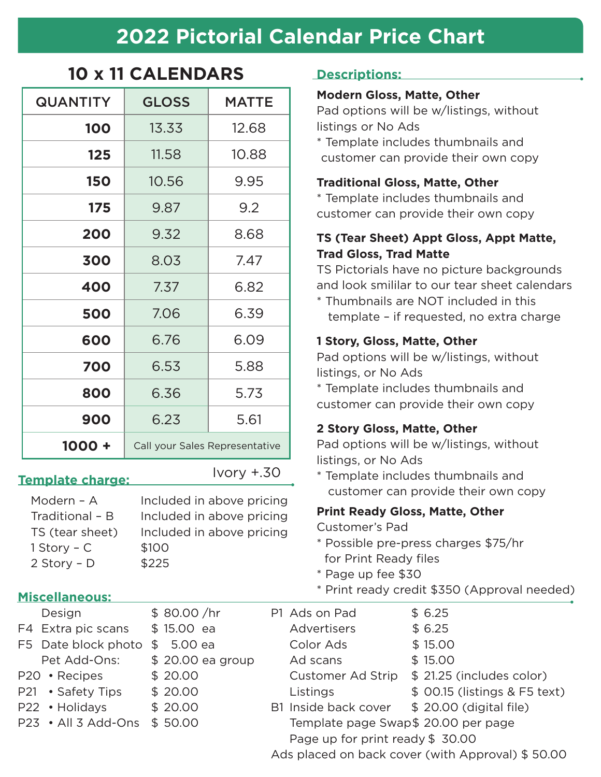## **2022 Pictorial Calendar Price Chart**

| <b>QUANTITY</b> | <b>GLOSS</b>                   | <b>MATTE</b> |  |
|-----------------|--------------------------------|--------------|--|
| <b>100</b>      | 13.33                          | 12.68        |  |
| 125             | 11.58                          | 10.88        |  |
| <b>150</b>      | 10.56                          | 9.95         |  |
| 175             | 9.87                           | 9.2          |  |
| 200             | 9.32                           | 8.68         |  |
| 300             | 8.03                           | 7.47         |  |
| 400             | 7.37                           | 6.82         |  |
| 500             | 7.06                           | 6.39         |  |
| 600             | 6.76                           | 6.09         |  |
| 700             | 6.53                           | 5.88         |  |
| 800             | 6.36                           | 5.73         |  |
| 900             | 6.23                           | 5.61         |  |
| 1000 +          | Call your Sales Representative |              |  |

## **10 x 11 CALENDARS**

#### **Template charge:**

Ivory +.30

Modern - A lncluded in above pricing Traditional – B Included in above pricing TS (tear sheet) Included in above pricing 1 Story – C \$100  $2$  Story – D  $$225$ 

#### **Miscellaneous:**

- P22 Holid
- $P23 \cdot A || 3$

**Descriptions:**

#### **Modern Gloss, Matte, Other**

Pad options will be w/listings, without listings or No Ads

\* Template includes thumbnails and customer can provide their own copy

#### **Traditional Gloss, Matte, Other**

\* Template includes thumbnails and customer can provide their own copy

#### **TS (Tear Sheet) Appt Gloss, Appt Matte, Trad Gloss, Trad Matte**

TS Pictorials have no picture backgrounds and look smililar to our tear sheet calendars

\* Thumbnails are NOT included in this template – if requested, no extra charge

#### **1 Story, Gloss, Matte, Other**

Pad options will be w/listings, without listings, or No Ads

\* Template includes thumbnails and customer can provide their own copy

#### **2 Story Gloss, Matte, Other**

Pad options will be w/listings, without listings, or No Ads

\* Template includes thumbnails and customer can provide their own copy

### **Print Ready Gloss, Matte, Other**

Customer's Pad

- \* Possible pre-press charges \$75/hr for Print Ready files
- \* Page up fee \$30
- \* Print ready credit \$350 (Approval needed)

| Design              | \$80.00 / hr              | P1 Ads on Pad                                    | \$6.25                        |  |
|---------------------|---------------------------|--------------------------------------------------|-------------------------------|--|
| F4 Extra pic scans  | \$15.00 ea                | <b>Advertisers</b>                               | \$6.25                        |  |
| F5 Date block photo | $\mathfrak{L}$<br>5.00 ea | Color Ads                                        | \$15.00                       |  |
| Pet Add-Ons:        | \$20.00 ea group          | Ad scans                                         | \$15.00                       |  |
| P20 • Recipes       | \$20.00                   | Customer Ad Strip                                | \$21.25 (includes color)      |  |
| P21 • Safety Tips   | \$20.00                   | Listings                                         | \$ 00.15 (listings & F5 text) |  |
| P22 · Holidays      | \$20.00                   | B1 Inside back cover                             | \$ 20.00 (digital file)       |  |
| P23 · All 3 Add-Ons | \$50.00                   | Template page Swap\$ 20.00 per page              |                               |  |
|                     |                           | Page up for print ready \$ 30.00                 |                               |  |
|                     |                           | Ads placed on back cover (with Approval) \$50.00 |                               |  |